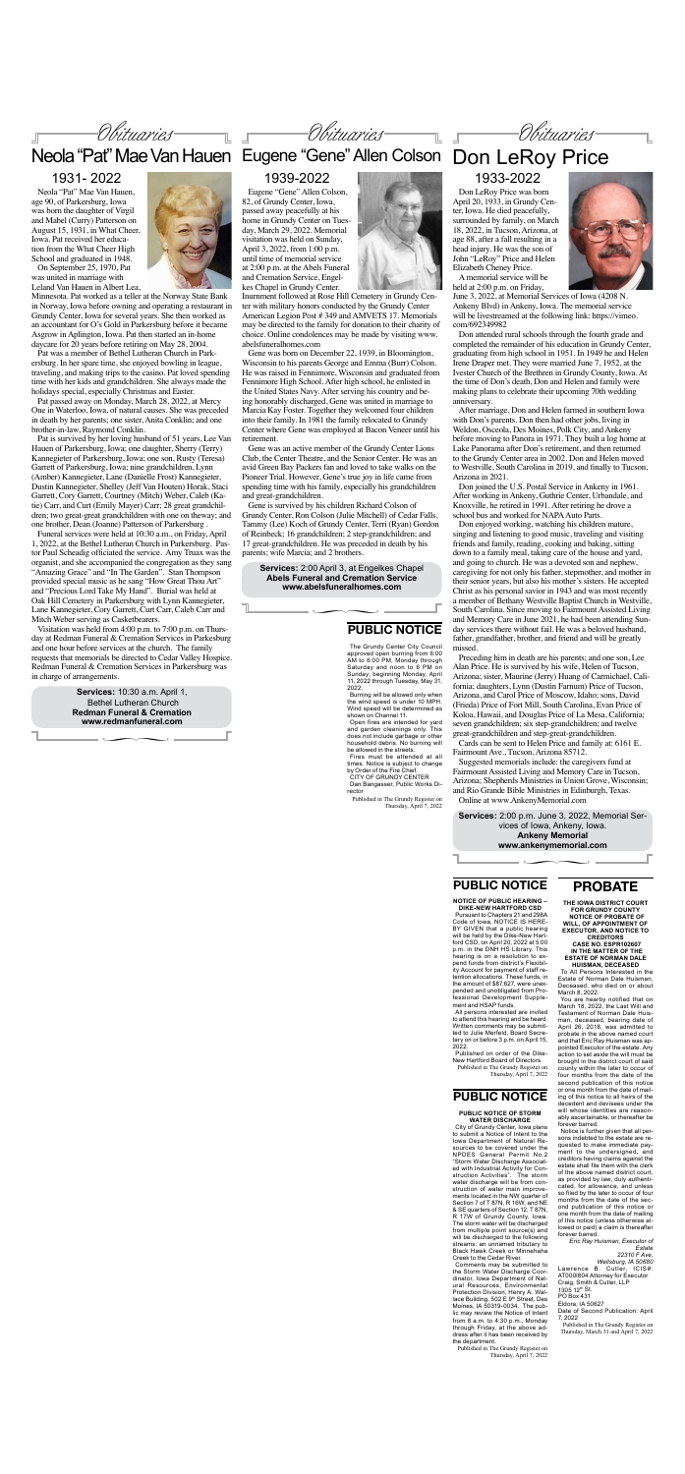### **PROBATE**

**THE IOWA DISTRICT COURT FOR GRUNDY COUNTY NOTICE OF PROBATE OF WILL, OF APPOINTMENT OF EXECUTOR, AND NOTICE TO** 

**CREDITORS CASE NO. ESPR102607 IN THE MATTER OF THE ESTATE OF NORMAN DALE** 

**HUISMAN, DECEASED** To All Persons Interested in the Estate of Norman Dale Huisman, Deceased, who died on or about March 8, 2022:

You are hearby notified that on March 18, 2022, the Last Will and Testament of Norman Dale Huisman, deceased, bearing date of April 26, 2018, was admitted to probate in the above named court and that Eric Ray Huisman was appointed Executor of the estate. Any action to set aside the will must be brought in the district court of said county within the later to occur of four months from the date of the second publication of this notice or one month from the date of mailing of this notice to all heirs of the decedent and devisees under the will whose identities are reasonably ascertainable, or thereafter be forever barred.

Notice is further given that all persons indebted to the estate are requested to make immediate payment to the undersigned, and creditors having claims against the estate shall file them with the clerk of the above named district court, as provided by law, duly authenticated, for allowance, and unless so filed by the later to occur of four months from the date of the second publication of this notice or one month from the date of mailing of this notice (unless otherwise allowed or paid) a claim is thereafter forever barred.

*Eric Ray Huisman, Executor of Estate*

*22310 F Ave, Wellsburg, IA 50680* Lawrence B. Cutler, ICIS#: AT000l804 Attorney for Executor Craig, Smith & Cutler, LLP 1305 12th St. PO Box 431 Eldora, IA 50627

Date of Second Publication: April 7, 2022

Published in The Grundy Register on Thursday, March 31 and April 7, 2022

∏ **www.ankenymemorial.com Services:** 2:00 p.m. June 3, 2022, Memorial Services of Iowa, Ankeny, Iowa. **Ankeny Memorial**



June 3, 2022, at Memorial Services of Iowa (4208 N. Ankeny Blvd) in Ankeny, Iowa. The memorial service will be livestreamed at the following link: https://vimeo. com/692349982

Don attended rural schools through the fourth grade and completed the remainder of his education in Grundy Center, graduating from high school in 1951. In 1949 he and Helen Irene Draper met. They were married June 7, 1952, at the Ivester Church of the Brethren in Grundy County, Iowa. At the time of Don's death, Don and Helen and family were making plans to celebrate their upcoming 70th wedding anniversary.

After marriage, Don and Helen farmed in southern Iowa with Don's parents. Don then had other jobs, living in Weldon, Osceola, Des Moines, Polk City, and Ankeny before moving to Panora in 1971. They built a log home at Lake Panorama after Don's retirement, and then returned to the Grundy Center area in 2002. Don and Helen moved to Westville, South Carolina in 2019, and finally to Tucson, Arizona in 2021.

Don joined the U.S. Postal Service in Ankeny in 1961. After working in Ankeny, Guthrie Center, Urbandale, and Knoxville, he retired in 1991. After retiring he drove a school bus and worked for NAPA Auto Parts.

Don LeRoy Price was born April 20, 1933, in Grundy Center, Iowa. He died peacefully, surrounded by family, on March 18, 2022, in Tucson, Arizona, at age 88, after a fall resulting in a head injury. He was the son of John "LeRoy" Price and Helen Elizabeth Cheney Price. A memorial service will be held at 2:00 p.m. on Friday, 1933-2022

Don enjoyed working, watching his children mature, singing and listening to good music, traveling and visiting friends and family, reading, cooking and baking, sitting down to a family meal, taking care of the house and yard, and going to church. He was a devoted son and nephew, caregiving for not only his father, stepmother, and mother in their senior years, but also his mother's sisters. He accepted Christ as his personal savior in 1943 and was most recently a member of Bethany Westville Baptist Church in Westville, South Carolina. Since moving to Fairmount Assisted Living and Memory Care in June 2021, he had been attending Sunday services there without fail. He was a beloved husband, father, grandfather, brother, and friend and will be greatly missed.

Preceding him in death are his parents; and one son, Lee Alan Price. He is survived by his wife, Helen of Tucson, Arizona; sister, Maurine (Jerry) Huang of Carmichael, California; daughters, Lynn (Dustin Farnum) Price of Tucson, Arizona, and Carol Price of Moscow, Idaho; sons, David (Frieda) Price of Fort Mill, South Carolina, Evan Price of Koloa, Hawaii, and Douglas Price of La Mesa, California; seven grandchildren; six step-grandchildren; and twelve great-grandchildren and step-great-grandchildren.

Cards can be sent to Helen Price and family at: 6161 E. Fairmount Ave., Tucson, Arizona 85712.

Suggested memorials include: the caregivers fund at Fairmount Assisted Living and Memory Care in Tucson,

Arizona; Shepherds Ministries in Union Grove, Wisconsin; and Rio Grande Bible Ministries in Edinburgh, Texas. Online at www.AnkenyMemorial.com

### **PUBLIC NOTICE**

**NOTICE OF PUBLIC HEARING – DIKE-NEW HARTFORD CSD**

Pursuant to Chapters 21 and 298A Code of Iowa, NOTICE IS HERE-BY GIVEN that a public hearing will be held by the Dike-New Hartford CSD, on April 20, 2022 at 5:00 p.m. in the DNH HS Library. This hearing is on a resolution to expend funds from district's Flexibility Account for payment of staff retention allocations. These funds, in the amount of \$87,627, were unexpended and unobligated from Professional Development Supplement and HSAP funds.

All persons interested are invited to attend this hearing and be heard. Written comments may be submitted to Julie Merfeld, Board Secretary on or before 3 p.m. on April 15, 2022.

Obituaries Obituaries

Published on order of the Dike-New Hartford Board of Directors. Published in The Grundy Register on

Thursday, April 7, 2022

# **PUBLIC NOTICE**

### **PUBLIC NOTICE OF STORM WATER DISCHARGE**

City of Grundy Center, Iowa plans to submit a Notice of Intent to the Iowa Department of Natural Resources to be covered under the NPDES General Permit No.2 "Storm Water Discharge Associated with Industrial Activity for Construction Activities". The storm water discharge will be from construction of water main improvements located in the NW quarter of Section 7 of T 87N, R 16W, and NE & SE quarters of Section 12, T 87N, R 17W of Grundy County, Iowa. The storm water will be discharged from multiple point source(s) and will be discharged to the following streams: an unnamed tributary to Black Hawk Creek or Minnehaha Creek to the Cedar River.

Comments may be submitted to the Storm Water Discharge Coordinator, Iowa Department of Natural Resources, Environmental Protection Division, Henry A. Wallace Building, 502 E 9<sup>th</sup> Street, Des Moines, IA 50319-0034. The public may review the Notice of Intent from 8 a.m. to 4:30 p.m., Monday through Friday, at the above address after it has been received by the department.

Published in The Grundy Register on Thursday, April 7, 2022

Obituaries

∏ **www.redmanfuneral.com Services:** 10:30 a.m. April 1, Bethel Lutheran Church **Redman Funeral & Cremation**



Neola "Pat" Mae Van Hauen, age 90, of Parkersburg, Iowa was born the daughter of Virgil and Mabel (Curry) Patterson on August 15, 1931, in What Cheer, Iowa. Pat received her education from the What Cheer High School and graduated in 1948. On September 25, 1970, Pat

was united in marriage with Leland Van Hauen in Albert Lea,

Minnesota. Pat worked as a teller at the Norway State Bank in Norway, Iowa before owning and operating a restaurant in Grundy Center, Iowa for several years. She then worked as an accountant for O's Gold in Parkersburg before it became Asgrow in Aplington, Iowa. Pat then started an in-home daycare for 20 years before retiring on May 28, 2004.

Pat was a member of Bethel Lutheran Church in Parkersburg. In her spare time, she enjoyed bowling in league, traveling, and making trips to the casino. Pat loved spending time with her kids and grandchildren. She always made the holidays special, especially Christmas and Easter.

Pat passed away on Monday, March 28, 2022, at Mercy One in Waterloo, Iowa, of natural causes. She was preceded in death by her parents; one sister, Anita Conklin; and one brother-in-law, Raymond Conklin.

Pat is survived by her loving husband of 51 years, Lee Van Hauen of Parkersburg, Iowa; one daughter, Sherry (Terry) Kannegieter of Parkersburg, Iowa; one son, Rusty (Teresa) Garrett of Parkersburg, Iowa; nine grandchildren, Lynn (Amber) Kannegieter, Lane (Danielle Frost) Kannegieter, Dustin Kannegieter, Shelley (Jeff Van Houten) Horak, Staci Garrett, Cory Garrett, Courtney (Mitch) Weber, Caleb (Katie) Carr, and Curt (Emily Mayer) Carr; 28 great grandchildren; two great-great grandchildren with one on theway; and one brother, Dean (Joanne) Patterson of Parkersburg .

Funeral services were held at 10:30 a.m., on Friday, April 1, 2022, at the Bethel Lutheran Church in Parkersburg. Pastor Paul Scheadig officiated the service. Amy Truax was the organist, and she accompanied the congregation as they sang "Amazing Grace" and "In The Garden". Stan Thompson provided special music as he sang "How Great Thou Art" and "Precious Lord Take My Hand". Burial was held at Oak Hill Cemetery in Parkersburg with Lynn Kannegieter, Lane Kannegieter, Cory Garrett, Curt Carr, Caleb Carr and Mitch Weber serving as Casketbearers.

Visitation was held from 4:00 p.m. to 7:00 p.m. on Thursday at Redman Funeral & Cremation Services in Parkesburg and one hour before services at the church. The family requests that memorials be directed to Cedar Valley Hospice. Redman Funeral & Cremation Services in Parkersburg was in charge of arrangements.

### 1931- 2022

**Services:** 2:00 April 3, at Engelkes Chapel **Abels Funeral and Cremation Service www.abelsfuneralhomes.com**

 $\sim$ 

Place photo here

# Neola "Pat" Mae Van Hauen Eugene "Gene" Allen Colson Don LeRoy Price

Eugene "Gene" Allen Colson, 82, of Grundy Center, Iowa, passed away peacefully at his home in Grundy Center on Tuesday, March 29, 2022. Memorial visitation was held on Sunday, April 3, 2022, from 1:00 p.m. until time of memorial service at 2:00 p.m. at the Abels Funeral and Cremation Service, Engelkes Chapel in Grundy Center.

Inurnment followed at Rose Hill Cemetery in Grundy Center with military honors conducted by the Grundy Center American Legion Post # 349 and AMVETS 17. Memorials may be directed to the family for donation to their charity of choice. Online condolences may be made by visiting www. abelsfuneralhomes.com

Gene was born on December 22, 1939, in Bloomington, Wisconsin to his parents George and Emma (Burr) Colson. He was raised in Fennimore, Wisconsin and graduated from Fennimore High School. After high school, he enlisted in the United States Navy. After serving his country and being honorably discharged, Gene was united in marriage to Marcia Kay Foster. Together they welcomed four children into their family. In 1981 the family relocated to Grundy Center where Gene was employed at Bacon Veneer until his retirement.

Gene was an active member of the Grundy Center Lions Club, the Center Theatre, and the Senior Center. He was an avid Green Bay Packers fan and loved to take walks on the Pioneer Trial. However, Gene's true joy in life came from spending time with his family, especially his grandchildren and great-grandchildren.

Gene is survived by his children Richard Colson of Grundy Center, Ron Colson (Julie Mitchell) of Cedar Falls, Tammy (Lee) Koch of Grundy Center, Terri (Ryan) Gordon of Reinbeck; 16 grandchildren; 2 step-grandchildren; and 17 great-grandchildren. He was preceded in death by his parents; wife Marcia; and 2 brothers.

### 1939-2022

# **PUBLIC NOTICE**

The Grundy Center City Council approved open burning from 6:00 AM to 6:00 PM, Monday through Saturday and noon to 6 PM on Sunday; beginning Monday, April 11, 2022 through Tuesday, May 31, 2022.

Burning will be allowed only when the wind speed is under 10 MPH. Wind speed will be determined as shown on Channel 11.

Open fires are intended for yard and garden cleanings only. This does not include garbage or other household debris. No burning will be allowed in the streets.

Fires must be attended at all times. Notice is subject to change by Order of the Fire Chief.

CITY OF GRUNDY CENTER Dan Bangasser, Public Works Director

Published in The Grundy Register on Thursday, April 7, 2022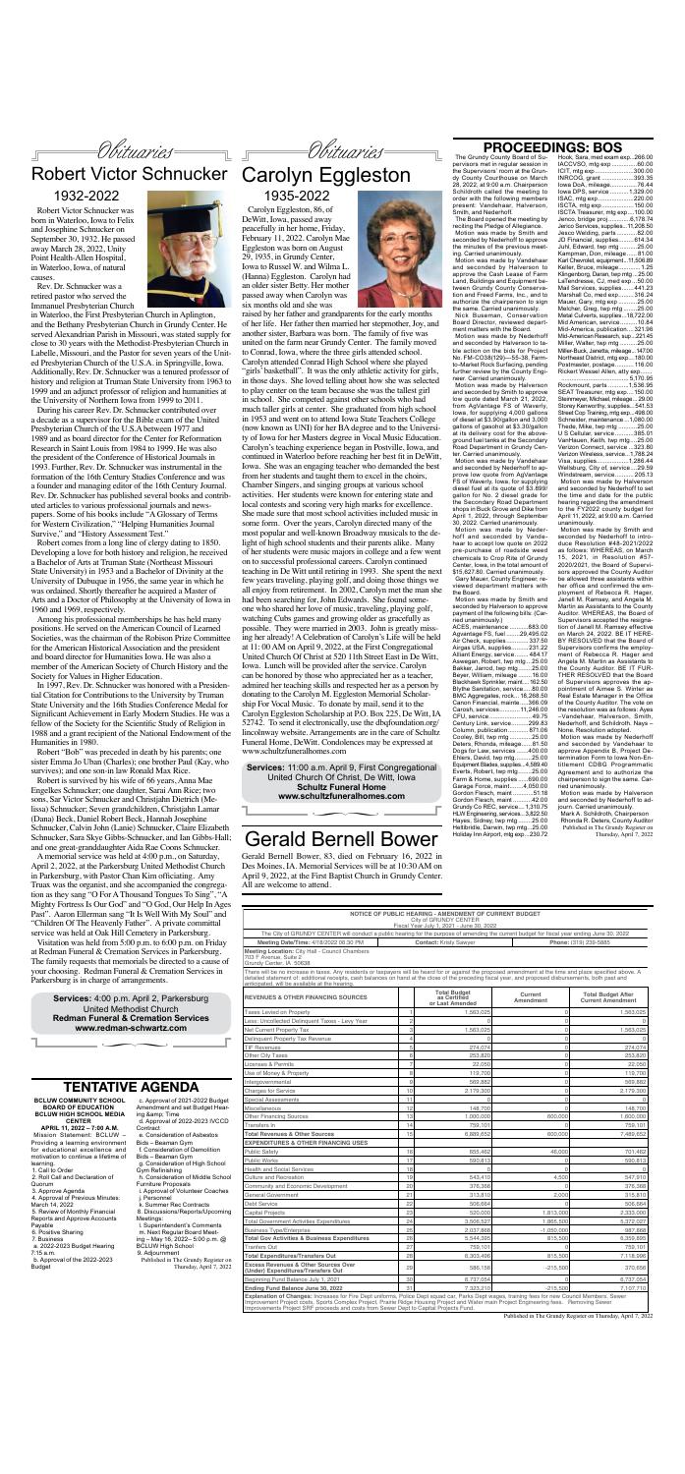The Grundy County Board of Supervisors met in regular session in the Supervisors' room at the Grundy County Courthouse on March 28, 2022, at 9:00 a.m. Chairperson Schildroth called the meeting to order with the following members present: Vandehaar, Halverson, Smith, and Nederhoff.

The Board opened the meeting by reciting the Pledge of Allegiance. Motion was made by Smith and seconded by Nederhoff to approve the minutes of the previous meeting. Carried unanimously.

Motion was made by Vandehaar and seconded by Halverson to approve the Cash Lease of Farm Land, Buildings and Equipment between Grundy County Conservation and Freed Farms, Inc., and to authorize the chairperson to sign the same. Carried unanimously. Nick Buseman, Conservation

ment matters with the Board. Motion was made by Nederhoff and seconded by Halverson to table action on the bids for Project No. FM-CO38(129)—55-38, Farmto-Market Rock Surfacing, pending further review by the County Engineer. Carried unanimously.

Board Director, reviewed departter. Carried unanimously.

Motion was made by Halverson and seconded by Smith to approve low quote dated March 21, 2022, from AgVantage FS of Waverly, Iowa, for supplying 4,000 gallons of diesel at \$3.90/gallon and 3,000 gallons of gasohol at \$3.30/gallon at its delivery cost for the aboveground fuel tanks at the Secondary Road Department in Grundy Cen-

Motion was made by Vandehaar and seconded by Nederhoff to ap-

prove low quote from AgVantage FS of Waverly, Iowa, for supplying diesel fuel at its quote of \$3.899/ gallon for No. 2 diesel grade for the Secondary Road Department shops in Buck Grove and Dike from April 1, 2022, through September 30, 2022. Carried unanimously.

### **PROCEEDINGS: BOS** Hook, Sara, med exam exp...266.00

Motion was made by Nederhoff and seconded by Vandehaar to accept low quote on 2022 pre-purchase of roadside weed chemicals to Crop Rite of Grundy Center, Iowa, in the total amount of \$15,627.80. Carried unanimously. Gary Mauer, County Engineer, reviewed department matters with the Board.

Motion was made by Smith and seconded by Halverson to approve payment of the following bills: (Car-

Equipment Blades, supplies...4,589.40<br>Everts, Robert, twp mtg........25.00 Everts, Robert, twp mtg........25.00<br>Farm & Home, supplies.......690.00 Farm & Home, supplies

ried unanimously.)

ACES, maintenance ...........883.00<br>Agvantage FS, fuel ........29.495.02 Agvantage FS, fuel ........29,495.02<br>Air Check, supplies ............. 337.50 Air Check, supplies............. 337.50<br>Airgas USA, supplies.......... 231.22 Airgas USA, supplies..........231.22<br>Alliant Energy, service........ 484.17 Alliant Energy, service. Aswegan, Robert, twp mtg ...25.00<br>Bakker, Jarrod, twp mtg ........25.00 Bakker, Jarrod, twp mtg........25.00<br>Bever, William, mileage........16.00 Beyer, William, mileage Blackhawk Sprinkler, maint....162.50 Blythe Sanitation, service.....80.00 BMC Aggregates, rock... 18,268.50 Canon Financial, mainte.....366.09 Carosh, services............ 11,246.00<br>CELL service 49.75 CFU, service .... Century Link, service..........299.83<br>Column, publication............ 871.06 Column, publication............ 871.06 Cooley, Bill, twp mtg. Deters, Rhonda, mileage......81.50<br>Dogs for Law, services.......400.00 Dogs for Law, services .......400.00<br>Fhlers, David, twn mtg.........25.00 Ehlers, David, twp mtg.

IACCVSO, mtg exp .................60.00<br>ICIT, mtg exp ........................300.00 ICIT, mtg exp.......................300.00 INRCOG, grant . Iowa DoA, mileage.................76.44<br>Iowa DPS, service ...........1,329.00 Iowa DPS, service ...........1,329.00 ISAC, mtg exp. ISCTA, mtg exp...................150.00 ISCTA Treasurer, mtg exp....100.00 Jenco, bridge proj .............6,178.74 Jerico Services, supplies...11,208.50<br>Jesco Welding. parts............82.00 Jesco Welding, parts ............82.00<br>JD Financial. supplies.........614.34 JD Financial, supplies. Juhl, Edward, twp mtg ..........25.00 Kampman, Don, mileage. Karl Chevrolet, equipment...11,506.89 Keller, Bruce, mileage............. 1.25<br>Klingenborg, Daran, twp mtg... 25.00 Klingenborg, Daran, twp mtg. LaTendresse, CJ, med exp...50.00 Mail Services, supplies....... 441.23<br>Marshall Co. med exp......... 316.24 Marshall Co, med exp.........316.24<br>Mauer. Gary. mtg exp...........25.00 Mauer, Gary, mtg exp. Melcher, Greg, twp mtg ........25.00 Metal Culverts, supplies...18,722.00<br>Mid American, service.......... 10.84 Mid American, service. Mid-America, publication....321.96 Mid-American Research, sup...221.45<br>Miller, Walter, two mtg..........25.00 Miller, Walter, twp mtg ....... Miller-Buck, Janetta, mileage...147.00 Northeast District, mtg exp....180.00<br>Postmaster, postage........... 116.00 Postmaster, postage. Rickert Wessel Allen, atty exp. .<br>.5,170.95<br>.1.536.95 Rockmount, parts ... SEAT Treasurer, mtg exp....150.00 Steinmeyer, Michael, mileage... 29.00 Storey Kenworthy, supplies...541.53 Street Cop Training, mtg exp...498.00 Schneider, maintenance ...1,080.00<br>Thede Mike twn mtg 25.00 Thede, Mike, twp mtg ...........25.00<br>U S Cellular. service ...........385.01 U S Cellular, service ...........385.01 VanHauen, Keith, twp mtg....25.00 Verizon Connect, service ...323.80 Verizon Wireless, service...1,788.24 Visa, supplies.... Wellsburg, City of, service....29.59 Windstream, service........... 205.13 Motion was made by Halverson and seconded by Nederhoff to set the time and date for the public hearing regarding the amendment to the FY2022 county budget for April 11, 2022, at 9:00 a.m. Carried unanimously.

Mark A. Schildroth, Chairperson Rhonda R. Deters, County Auditor Published in The Grundy Register on Thursday, April 7, 2022

Motion was made by Smith and seconded by Nederhoff to introduce Resolution #48-2021/2022 as follows: WHEREAS, on March 15, 2021, in Resolution #57- 2020/2021, the Board of Supervisors approved the County Auditor be allowed three assistants within her office and confirmed the employment of Rebecca R. Hager, Janell M. Ramsey, and Angela M. Martin as Assistants to the County Auditor. WHEREAS, the Board of Supervisors accepted the resignation of Janell M. Ramsey effective on March 24, 2022. BE IT HERE-BY RESOLVED that the Board of Supervisors confirms the employment of Rebecca R. Hager and Angela M. Martin as Assistants to the County Auditor. BE IT FUR-THER RESOLVED that the Board of Supervisors approves the appointment of Aimee S. Winter as Real Estate Manager in the Office of the County Auditor. The vote on the resolution was as follows: Ayes –Vandehaar, Halverson, Smith, Nederhoff, and Schildroth. Nays – None. Resolution adopted.

Garage Force, maint........4,050.00<br>Gordon Flesch. maint............51.18 ∏ **www.schultzfuneralhomes.com**

Motion was made by Nederhoff and seconded by Vandehaar to approve Appendix B, Project Determination Form to Iowa Non-Entitlement CDBG Programmatic Agreement and to authorize the

chairperson to sign the same. Carried unanimously.

Motion was made by Halverson and seconded by Nederhoff to adjourn. Carried unanimously.

### **TENTATIVE AGENDA**

**BCLUW COMMUNITY SCHOOL BOARD OF EDUCATION BCLUW HIGH SCHOOL MEDIA CENTER APRIL 11, 2022 – 7:00 A.M.** Mission Statement: BCLUW – Providing a learning environment for educational excellence and motivation to continue a lifetime of learning. 1. Call to Order 2. Roll Call and Declaration of Quorum 3. Approve Agenda 4. Approval of Previous Minutes: March 14, 2022 5. Review of Monthly Financial Reports and Approve Accounts Payable 6. Positive Sharing 7. Business a. 2022-2023 Budget Hearing 7:15 a.m. b. Approval of the 2022-2023 Budget

c. Approval of 2021-2022 Budget Amendment and set Budget Hearing & amp: Time d. Approval of 2022-2023 IVCCD **Contract** e. Consideration of Asbestos Bids – Beaman Gym f. Consideration of Demolition Bids – Beaman Gym g. Consideration of High School Gym Refinishing h. Consideration of Middle School Furniture Proposals i. Approval of Volunteer Coaches j. Personnel k. Summer Rec Contracts 8. Discussions/Reports/Upcoming Meetings: l. Superintendent's Comments m. Next Regular Board Meeting – May 16, 2022– 5:00 p.m. @ BCLUW High School 9. Adjournment Published in The Grundy Register on Thursday, April 7, 2022

Obituaries

∏ **www.redman-schwartz.com Services:** 4:00 p.m. April 2, Parkersburg United Methodist Church **Redman Funeral & Cremation Services**



Robert Victor Schnucker was born in Waterloo, Iowa to Felix and Josephine Schnucker on September 30, 1932. He passed away March 28, 2022, Unity Point Health-Allen Hospital, in Waterloo, Iowa, of natural causes.

Rev. Dr. Schnucker was a retired pastor who served the Immanuel Presbyterian Church

in Waterloo, the First Presbyterian Church in Aplington, and the Bethany Presbyterian Church in Grundy Center. He served Alexandrian Parish in Missouri, was stated supply for close to 30 years with the Methodist-Presbyterian Church in Labelle, Missouri, and the Pastor for seven years of the United Presbyterian Church of the U.S.A. in Springville, Iowa. Additionally, Rev. Dr. Schnucker was a tenured professor of history and religion at Truman State University from 1963 to 1999 and an adjunct professor of religion and humanities at the University of Northern Iowa from 1999 to 2011.

### Gordon Flesch, maint ............51.18<br>Gordon Flesch, maint ...........42.00 Gordon Flesch, maint Grundy Co REC, service....1,310.75 HLW Engineering, services...3,822.50 Hayes, Sidney, twp mtg ........25.00 Heltibridle, Darwin, twp mtg...25.00 Holiday Inn Airport, mtg exp...230.72 Gerald Bernell Bower

During his career Rev. Dr. Schnucker contributed over a decade as a supervisor for the Bible exam of the United Presbyterian Church of the U.S.A between 1977 and 1989 and as board director for the Center for Reformation Research in Saint Louis from 1984 to 1999. He was also the president of the Conference of Historical Journals in 1993. Further, Rev. Dr. Schnucker was instrumental in the formation of the 16th Century Studies Conference and was a founder and managing editor of the 16th Century Journal. Rev. Dr. Schnucker has published several books and contributed articles to various professional journals and newspapers. Some of his books include "A Glossary of Terms for Western Civilization," "Helping Humanities Journal Survive," and "History Assessment Test."

Robert comes from a long line of clergy dating to 1850. Developing a love for both history and religion, he received a Bachelor of Arts at Truman State (Northeast Missouri State University) in 1953 and a Bachelor of Divinity at the University of Dubuque in 1956, the same year in which he was ordained. Shortly thereafter he acquired a Master of Arts and a Doctor of Philosophy at the University of Iowa in 1960 and 1969, respectively.

# Robert Victor Schnucker Carolyn Eggleston

Among his professional memberships he has held many positions. He served on the American Council of Learned Societies, was the chairman of the Robison Prize Committee for the American Historical Association and the president and board director for Humanities Iowa. He was also a member of the American Society of Church History and the Society for Values in Higher Education.

In 1997, Rev. Dr. Schnucker was honored with a Presidential Citation for Contributions to the University by Truman State University and the 16th Studies Conference Medal for Significant Achievement in Early Modern Studies. He was a fellow of the Society for the Scientific Study of Religion in 1988 and a grant recipient of the National Endowment of the Humanities in 1980.

Robert "Bob" was preceded in death by his parents; one sister Emma Jo Uban (Charles); one brother Paul (Kay, who survives); and one son-in law Ronald Max Rice. Robert is survived by his wife of 66 years, Anna Mae Engelkes Schnucker; one daughter, Sarai Ann Rice; two sons, Sar Victor Schnucker and Christjahn Dietrich (Melissa) Schnucker; Seven grandchildren, Christjahn Lamar (Dana) Beck, Daniel Robert Beck, Hannah Josephine Schnucker, Calvin John (Lanie) Schnucker, Claire Elizabeth Schnucker, Sara Skye Gibbs-Schnucker, and Ian Gibbs-Hall; and one great-granddaughter Aida Rae Coons Schnucker. A memorial service was held at 4:00 p.m., on Saturday, April 2, 2022, at the Parkersburg United Methodist Church in Parkersburg, with Pastor Chan Kim officiating. Amy Truax was the organist, and she accompanied the congregation as they sang "O For A Thousand Tongues To Sing", "A Mighty Fortress Is Our God" and "O God, Our Help In Ages Past". Aaron Ellerman sang "It Is Well With My Soul" and "Children Of The Heavenly Father". A private committal service was held at Oak Hill Cemetery in Parkersburg. Visitation was held from 5:00 p.m. to 6:00 p.m. on Friday at Redman Funeral & Cremation Services in Parkersburg. The family requests that memorials be directed to a cause of your choosing. Redman Funeral & Cremation Services in Parkersburg is in charge of arrangements.

1932-2022

Obituaries

### **Services:** 11:00 a.m. April 9, First Congregational

# Place photosystem  $\overline{\phantom{a}}$

United Church Of Christ, De Witt, Iowa **Schultz Funeral Home**

Carolyn Eggleston, 86, of DeWitt, Iowa, passed away peacefully in her home, Friday, February 11, 2022. Carolyn Mae Eggleston was born on August 29, 1935, in Grundy Center, Iowa to Russel W. and Wilma L. (Hanna) Eggleston. Carolyn had an older sister Betty. Her mother passed away when Carolyn was six months old and she was

raised by her father and grandparents for the early months of her life. Her father then married her stepmother, Joy, and another sister, Barbara was born. The family of five was united on the farm near Grundy Center. The family moved to Conrad, Iowa, where the three girls attended school. Carolyn attended Conrad High School where she played "girls' basketball". It was the only athletic activity for girls, in those days. She loved telling about how she was selected to play center on the team because she was the tallest girl in school. She competed against other schools who had much taller girls at center. She graduated from high school in 1953 and went on to attend Iowa State Teachers College (now known as UNI) for her BA degree and to the University of Iowa for her Masters degree in Vocal Music Education. Carolyn's teaching experience began in Postville, Iowa, and continued in Waterloo before reaching her best fit in DeWitt, Iowa. She was an engaging teacher who demanded the best from her students and taught them to excel in the choirs, Chamber Singers, and singing groups at various school activities. Her students were known for entering state and local contests and scoring very high marks for excellence. She made sure that most school activities included music in some form. Over the years, Carolyn directed many of the most popular and well-known Broadway musicals to the delight of high school students and their parents alike. Many of her students were music majors in college and a few went on to successful professional careers. Carolyn continued teaching in De Witt until retiring in 1993. She spent the next few years traveling, playing golf, and doing those things we all enjoy from retirement. In 2002, Carolyn met the man she had been searching for, John Edwards. She found someone who shared her love of music, traveling, playing golf, watching Cubs games and growing older as gracefully as possible. They were married in 2003. John is greatly missing her already! A Celebration of Carolyn's Life will be held at 11: 00 AM on April 9, 2022, at the First Congregational United Church Of Christ at 520 11th Street East in De Witt, Iowa. Lunch will be provided after the service. Carolyn can be honored by those who appreciated her as a teacher, admired her teaching skills and respected her as a person by donating to the Carolyn M. Eggleston Memorial Scholarship For Vocal Music. To donate by mail, send it to the Carolyn Eggleston Scholarship at P.O. Box 225, De Witt, IA 52742. To send it electronically, use the dbqfoundation.org/ lincolnway website. Arrangements are in the care of Schultz Funeral Home, DeWitt. Condolences may be expressed at www.schultzfuneralhomes.com

# 1935-2022

|                                                                                       |                | or Last Amended | Amendment    | <b>Current Amendment</b> |
|---------------------------------------------------------------------------------------|----------------|-----------------|--------------|--------------------------|
| <b>Taxes Levied on Property</b>                                                       |                | 1,563,025       | $\Omega$     | 1,563,025                |
| Less: Uncollected Delinguent Taxes - Levy Year                                        | $\overline{c}$ |                 | $\Omega$     |                          |
| Net Current Property Tax                                                              | 3              | 1,563,025       | $\Omega$     | 1,563,025                |
| Delinquent Property Tax Revenue                                                       | $\overline{4}$ |                 | $\Omega$     |                          |
| <b>TIF Revenues</b>                                                                   | 5              | 274,074         | $\Omega$     | 274,074                  |
| <b>Other City Taxes</b>                                                               | 6              | 253,820         | 0            | 253,820                  |
| <b>Licenses &amp; Permits</b>                                                         | $\overline{7}$ | 22,050          | $\Omega$     | 22,050                   |
| Use of Money & Property                                                               | 8              | 119,700         | $\Omega$     | 119,700                  |
| Intergovernmental                                                                     | 9              | 569,882         | $\Omega$     | 569,882                  |
| <b>Charges for Service</b>                                                            | 10             | 2,179,300       | $\Omega$     | 2,179,300                |
| <b>Special Assessments</b>                                                            | 11             |                 | $\Omega$     |                          |
| Miscellaneous                                                                         | 12             | 148,700         | $\Omega$     | 148,700                  |
| <b>Other Financing Sources</b>                                                        | 13             | 1.000.000       | 600,000      | 1,600,000                |
| <b>Transfers In</b>                                                                   | 14             | 759,101         | $\Omega$     | 759,101                  |
| <b>Total Revenues &amp; Other Sources</b>                                             | 15             | 6,889,652       | 600,000      | 7,489,652                |
| <b>EXPENDITURES &amp; OTHER FINANCING USES</b>                                        |                |                 |              |                          |
| <b>Public Safety</b>                                                                  | 16             | 655,462         | 46,000       | 701,462                  |
| <b>Public Works</b>                                                                   | 17             | 590,813         | $\Omega$     | 590,813                  |
| <b>Health and Social Services</b>                                                     | 18             |                 | $\Omega$     |                          |
| <b>Culture and Recreation</b>                                                         | 19             | 543,410         | 4,500        | 547,910                  |
| Community and Economic Development                                                    | 20             | 376,368         | $\Omega$     | 376,368                  |
| <b>General Government</b>                                                             | 21             | 313,810         | 2,000        | 315,810                  |
| <b>Debt Service</b>                                                                   | 22             | 506,664         |              | 506,664                  |
| <b>Capital Projects</b>                                                               | 23             | 520,000         | 1,813,000    | 2,333,000                |
| <b>Total Government Activities Expenditures</b>                                       | 24             | 3,506,527       | 1,865,500    | 5,372,027                |
| <b>Business Type/Enterprise</b>                                                       | 25             | 2,037,868       | $-1,050,000$ | 987,868                  |
| <b>Total Gov Activities &amp; Business Expenditures</b>                               | 26             | 5,544,395       | 815,500      | 6,359,895                |
| <b>Tranfers Out</b>                                                                   | 27             | 759,101         | $\cap$       | 759,101                  |
| <b>Total Expenditures/Transfers Out</b>                                               | 28             | 6,303,496       | 815,500      | 7,118,996                |
| <b>Excess Revenues &amp; Other Sources Over</b><br>(Under) Expenditures/Transfers Out | 29             | 586,156         | $-215,500$   | 370,656                  |
| Beginning Fund Balance July 1, 2021                                                   | 30             | 6,737,054       | $\Omega$     | 6,737,054                |
| Ending Fund Balance June 30, 2022                                                     | 31             | 7,323,210       | $-215,500$   | 7,107,710                |
| Front constitution of Observation Transaction from Day Day                            | $D - U -$      | $D = -1$        |              | $-11 - 8 - 8 = -1$       |

**Explanation of Changes:** Increases for Fire Dept uniforms, Police Dept squad car, Parks Dept wages, training fees for new Council Members, Sewer<br>Improvement Project costs, Sports Complex Project, Prairie Ridge Housing Pro

| NOTICE OF PUBLIC HEARING - AMENDMENT OF CURRENT BUDGET<br>City of GRUNDY CENTER<br>Fiscal Year July 1, 2021 - June 30, 2022                                                                                                                                                                                                                                             |                               |                                                        |                      |                                                       |  |  |
|-------------------------------------------------------------------------------------------------------------------------------------------------------------------------------------------------------------------------------------------------------------------------------------------------------------------------------------------------------------------------|-------------------------------|--------------------------------------------------------|----------------------|-------------------------------------------------------|--|--|
| The City of GRUNDY CENTER will conduct a public hearing for the purpose of amending the current budget for fiscal year ending June 30, 2022                                                                                                                                                                                                                             |                               |                                                        |                      |                                                       |  |  |
| Meeting Date/Time: 4/18/2022 06:30 PM                                                                                                                                                                                                                                                                                                                                   | <b>Contact: Kristy Sawyer</b> |                                                        |                      | Phone: (319) 239-5885                                 |  |  |
| Meeting Location: City Hall - Council Chambers<br>703 F Avenue, Suite 2<br>Grundy Center, IA 50638                                                                                                                                                                                                                                                                      |                               |                                                        |                      |                                                       |  |  |
| There will be no increase in taxes. Any residents or taxpayers will be heard for or against the proposed amendment at the time and place specified above. A<br>detailed statement of: additional receipts, cash balances on hand at the close of the preceding fiscal year, and proposed disbursements, both past and<br>anticipated, will be available at the hearing. |                               |                                                        |                      |                                                       |  |  |
| <b>REVENUES &amp; OTHER FINANCING SOURCES</b>                                                                                                                                                                                                                                                                                                                           |                               | <b>Total Budget</b><br>as Certified<br>or Last Amended | Current<br>Amendment | <b>Total Budget After</b><br><b>Current Amendment</b> |  |  |
| <b>Taxes Levied on Property</b>                                                                                                                                                                                                                                                                                                                                         |                               | 1,563,025                                              |                      | 1,563,025                                             |  |  |
| Less: Uncollected Delinguent Taxes - Levy Year                                                                                                                                                                                                                                                                                                                          |                               |                                                        |                      |                                                       |  |  |

Published in The Grundy Register on Thursday, April 7, 2022

Gerald Bernell Bower, 83, died on February 16, 2022 in Des Moines, IA. Memorial Services will be at 10:30 AM on April 9, 2022, at the First Baptist Church in Grundy Center.

All are welcome to attend.